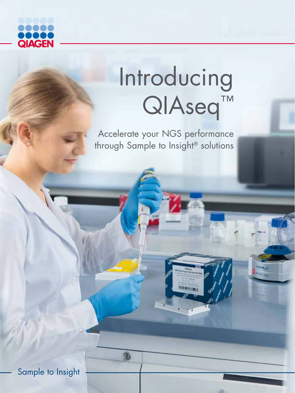

# Introducing QIAseq<sup>™</sup>

Accelerate your NGS performance through Sample to Insight® solutions

®

Sample to Insight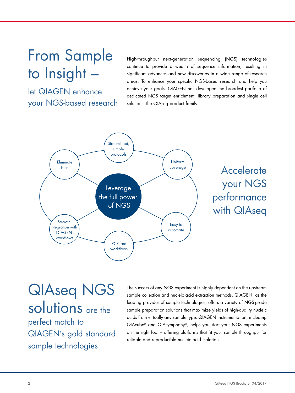# From Sample to Insight –

let QIAGEN enhance your NGS-based research High-throughput next-generation sequencing (NGS) technologies continue to provide a wealth of sequence information, resulting in significant advances and new discoveries in a wide range of research areas. To enhance your specific NGS-based research and help you achieve your goals, QIAGEN has developed the broadest portfolio of dedicated NGS target enrichment, library preparation and single cell solutions: the QIAseq product family!



# QIAseq NGS solutions are the

perfect match to QIAGEN's gold standard sample technologies

The success of any NGS experiment is highly dependent on the upstream sample collection and nucleic acid extraction methods. QIAGEN, as the leading provider of sample technologies, offers a variety of NGS-grade sample preparation solutions that maximize yields of high-quality nucleic acids from virtually any sample type. QIAGEN instrumentation, including QIAcube® and QIAsymphony®, helps you start your NGS experiments on the right foot – offering platforms that fit your sample throughput for reliable and reproducible nucleic acid isolation.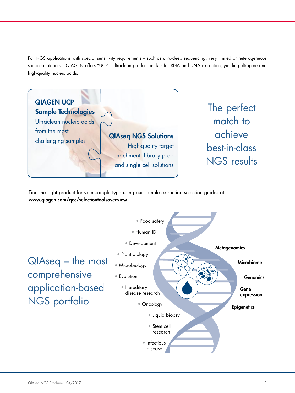For NGS applications with special sensitivity requirements – such as ultra-deep sequencing, very limited or heterogeneous sample materials – QIAGEN offers "UCP" (ultraclean production) kits for RNA and DNA extraction, yielding ultrapure and high-quality nucleic acids.



Find the right product for your sample type using our sample extraction selection guides at www.qiagen.com/qec/selectiontoolsoverview

QIAseq – the most comprehensive application-based NGS portfolio

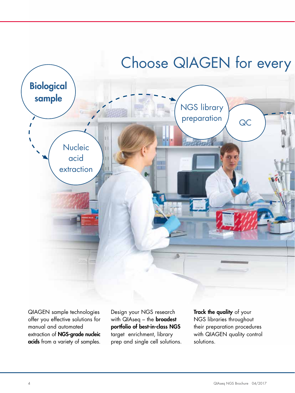

QIAGEN sample technologies offer you effective solutions for manual and automated extraction of NGS-grade nucleic acids from a variety of samples. Design your NGS research with  $QIAseq -$  the **broadest** portfolio of best-in-class NGS target enrichment, library prep and single cell solutions. Track the quality of your NGS libraries throughout their preparation procedures with QIAGEN quality control solutions.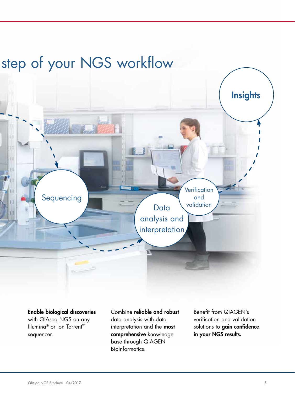# step of your NGS workflow



Enable biological discoveries with QIAseq NGS on any Illumina® or Ion Torrent™ sequencer.

Combine reliable and robust data analysis with data interpretation and the most comprehensive knowledge base through QIAGEN Bioinformatics.

Benefit from QIAGEN's verification and validation solutions to gain confidence in your NGS results.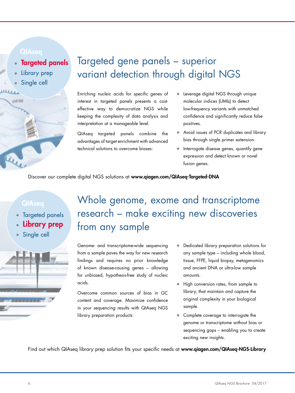- **Targeted panels**
- Library prep
- Single cell



### Targeted gene panels – superior variant detection through digital NGS

Enriching nucleic acids for specific genes of interest in targeted panels presents a costeffective way to democratize NGS while keeping the complexity of data analysis and interpretation at a manageable level.

QIAseq targeted panels combine the advantages of target enrichment with advanced technical solutions to overcome biases:

- Leverage digital NGS through unique molecular indices (UMIs) to detect low-frequency variants with unmatched confidence and significantly reduce false positives.
- Avoid issues of PCR duplicates and library bias through single primer extension.
- Interrogate disease genes, quantify gene expression and detect known or novel fusion genes.

Discover our complete digital NGS solutions at www.qiagen.com/QIAseq-Targeted-DNA

- Targeted panels
- Library prep
- Single cell



### Whole genome, exome and transcriptome research – make exciting new discoveries from any sample

Genome- and transcriptome-wide sequencing from a sample paves the way for new research findings and requires no prior knowledge of known disease-causing genes – allowing for unbiased, hypothesis-free study of nucleic acids.

Overcome common sources of bias in GC content and coverage. Maximize confidence in your sequencing results with QIAseq NGS library preparation products:

- Dedicated library preparation solutions for any sample type – including whole blood, tissue, FFPE, liquid biopsy, metagenomics and ancient DNA or ultra-low sample amounts.
- High conversion rates, from sample to library, that maintain and capture the original complexity in your biological sample.
- Complete coverage to interrogate the genome or transcriptome without bias or sequencing gaps – enabling you to create exciting new insights.

Find out which QIAseq library prep solution fits your specific needs at www.qiagen.com/QIAseq-NGS-Library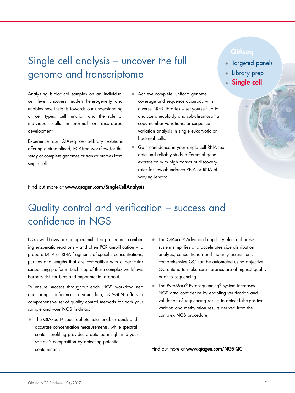### Single cell analysis – uncover the full genome and transcriptome

#### Analyzing biological samples on an individual cell level uncovers hidden heterogeneity and enables new insights towards our understanding of cell types, cell function and the role of individual cells in normal or disordered development.

Experience our QIAseq cell-to-library solutions offering a streamlined, PCR-free workflow for the study of complete genomes or transcriptomes from single cells:

- Achieve complete, uniform genome coverage and sequence accuracy with diverse NGS libraries – set yourself up to analyze aneuploidy and sub-chromosomal copy number variations, or sequence variation analysis in single eukaryotic or bacterial cells.
- Gain confidence in your single cell RNA-seq data and reliably study differential gene expression with high transcript discovery rates for low-abundance RNA or RNA of varying lengths.

- Targeted panels
- Library prep
- **Single cell**

Find out more at www.qiagen.com/SingleCellAnalysis

### Quality control and verification – success and confidence in NGS

NGS workflows are complex multistep procedures combining enzymatic reactions – and often PCR amplification – to prepare DNA or RNA fragments of specific concentrations, purities and lengths that are compatible with a particular sequencing platform. Each step of these complex workflows harbors risk for bias and experimental dropout.

To ensure success throughout each NGS workflow step and bring confidence to your data, QIAGEN offers a comprehensive set of quality control methods for both your sample and your NGS findings:

- The QIAxpert<sup>®</sup> spectrophotometer enables quick and accurate concentration measurements, while spectral content profiling provides a detailed insight into your sample's composition by detecting potential contaminants.
- The QIAxcel® Advanced capillary electrophoresis system simplifies and accelerates size distribution analysis, concentration and molarity assessment; comprehensive QC can be automated using objective QC criteria to make sure libraries are of highest quality prior to sequencing.
- The PyroMark® Pyrosequencing® system increases NGS data confidence by enabling verification and validation of sequencing results to detect false-positive variants and methylation results derived from the complex NGS procedure.

Find out more at www.qiagen.com/NGS-QC